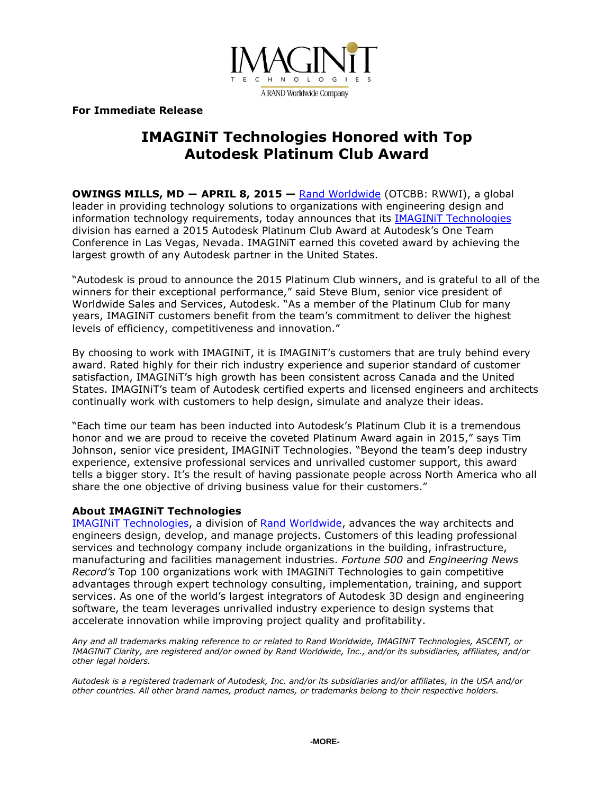

**For Immediate Release**

## **IMAGINiT Technologies Honored with Top Autodesk Platinum Club Award**

**OWINGS MILLS, MD ― APRIL 8, 2015 —** [Rand Worldwide](http://www.rand.com/) (OTCBB: RWWI), a global leader in providing technology solutions to organizations with engineering design and information technology requirements, today announces that its **IMAGINIT Technologies** division has earned a 2015 Autodesk Platinum Club Award at Autodesk's One Team Conference in Las Vegas, Nevada. IMAGINiT earned this coveted award by achieving the largest growth of any Autodesk partner in the United States.

"Autodesk is proud to announce the 2015 Platinum Club winners, and is grateful to all of the winners for their exceptional performance," said Steve Blum, senior vice president of Worldwide Sales and Services, Autodesk. "As a member of the Platinum Club for many years, IMAGINiT customers benefit from the team's commitment to deliver the highest levels of efficiency, competitiveness and innovation."

By choosing to work with IMAGINiT, it is IMAGINiT's customers that are truly behind every award. Rated highly for their rich industry experience and superior standard of customer satisfaction, IMAGINiT's high growth has been consistent across Canada and the United States. IMAGINiT's team of Autodesk certified experts and licensed engineers and architects continually work with customers to help design, simulate and analyze their ideas.

"Each time our team has been inducted into Autodesk's Platinum Club it is a tremendous honor and we are proud to receive the coveted Platinum Award again in 2015," says Tim Johnson, senior vice president, IMAGINiT Technologies. "Beyond the team's deep industry experience, extensive professional services and unrivalled customer support, this award tells a bigger story. It's the result of having passionate people across North America who all share the one objective of driving business value for their customers."

#### **About IMAGINiT Technologies**

[IMAGINiT Technologies,](http://www.imaginit.com/) a division of [Rand Worldwide,](http://www.rand.com/) advances the way architects and engineers design, develop, and manage projects. Customers of this leading professional services and technology company include organizations in the building, infrastructure, manufacturing and facilities management industries. *Fortune 500* and *Engineering News Record's* Top 100 organizations work with IMAGINiT Technologies to gain competitive advantages through expert technology consulting, implementation, training, and support services. As one of the world's largest integrators of Autodesk 3D design and engineering software, the team leverages unrivalled industry experience to design systems that accelerate innovation while improving project quality and profitability.

*Any and all trademarks making reference to or related to Rand Worldwide, IMAGINiT Technologies, ASCENT, or IMAGINiT Clarity, are registered and/or owned by Rand Worldwide, Inc., and/or its subsidiaries, affiliates, and/or other legal holders.*

*Autodesk is a registered trademark of Autodesk, Inc. and/or its subsidiaries and/or affiliates, in the USA and/or other countries. All other brand names, product names, or trademarks belong to their respective holders.*